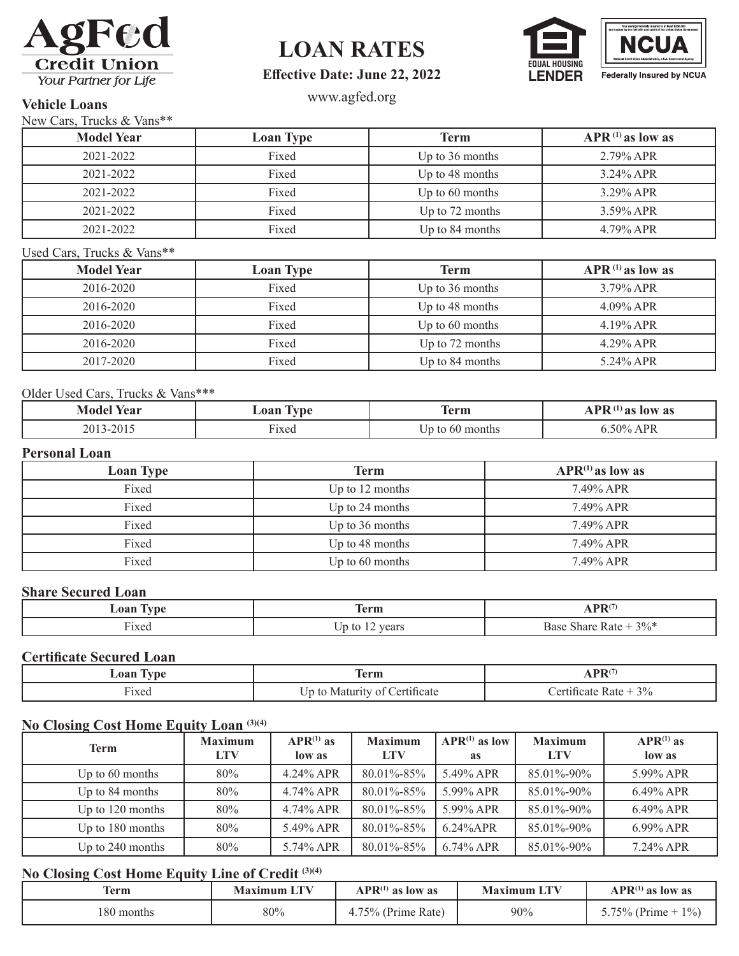

# **LOAN RATES**



# **Effective Date: June 22, 2022**

# www.agfed.org **Vehicle Loans**

New Cars, Trucks & Vans\*\*

| $150W$ Cars, Trucks $\alpha$ valis |                  |                   |                       |  |  |
|------------------------------------|------------------|-------------------|-----------------------|--|--|
| <b>Model Year</b>                  | <b>Loan Type</b> | Term              | $APR^{(1)}$ as low as |  |  |
| 2021-2022                          | Fixed            | Up to $36$ months | $2.79\%$ APR          |  |  |
| 2021-2022                          | Fixed            | Up to 48 months   | $3.24\%$ APR          |  |  |
| 2021-2022                          | Fixed            | Up to $60$ months | $3.29\%$ APR          |  |  |
| 2021-2022                          | Fixed            | Up to 72 months   | $3.59\%$ APR          |  |  |
| 2021-2022                          | Fixed            | Up to 84 months   | 4.79% APR             |  |  |

#### Used Cars, Trucks & Vans\*\*

| <b>Model Year</b> | <b>Loan Type</b> | Term              | $APR^{(1)}$ as low as |
|-------------------|------------------|-------------------|-----------------------|
| 2016-2020         | Fixed            | Up to 36 months   | $3.79\%$ APR          |
| 2016-2020         | Fixed            | Up to 48 months   | $4.09\%$ APR          |
| 2016-2020         | Fixed            | Up to 60 months   | $4.19\%$ APR          |
| 2016-2020         | Fixed            | Up to 72 months   | $4.29\%$ APR          |
| 2017-2020         | Fixed            | Up to $84$ months | 5.24% APR             |

#### Older Used Cars, Trucks & Vans\*\*\*

| м<br>rear<br>-vlode" | $\sim$<br>Loan<br>vpe            | m<br>erm     | . <b>DT</b><br>low as<br>' as<br>л<br>- |
|----------------------|----------------------------------|--------------|-----------------------------------------|
| 2015<br>2013         | $\overline{\phantom{a}}$<br>4xea | months<br>6U | 50%<br>4 PR                             |

#### **Personal Loan**

| <b>Loan Type</b> | <b>Term</b>       | $APR^{(1)}$ as low as |
|------------------|-------------------|-----------------------|
| Fixed            | Up to $12$ months | 7.49% APR             |
| Fixed            | Up to 24 months   | 7.49% APR             |
| Fixed            | Up to 36 months   | 7.49% APR             |
| Fixed            | Up to 48 months   | 7.49% APR             |
| Fixed            | Up to 60 months   | 7.49% APR             |

### **Share Secured Loan**

| .09 <sup>r</sup>                | <b>COL</b><br>$\mathbf{a}$<br>егш          | nn"                                                   |
|---------------------------------|--------------------------------------------|-------------------------------------------------------|
| $\sim$<br>$\sim$ $\sim$<br>1Xed | - -<br><i>rears</i><br>$\mathbf{r}$<br>LC. | 3%<br>$\sim$<br>har<br>، ص بي<br><b>n</b> 1<br>$\sim$ |

#### **Certificate Secured Loan**

| $. \n  ~ \n  ~ \n  ~ \n  ~ \n  ~ \n  ~ \n  ~ \n  ~ \n  ~ \n  ~ \n  ~ \n  ~ \n  ~ \n  ~ \n  ~ \n  ~ \n  ~ \n  ~ \n  ~ \n  ~ \n  ~ \n  ~$ | erm           |                          |
|-----------------------------------------------------------------------------------------------------------------------------------------|---------------|--------------------------|
| $1x$ eo<br>$\cdots$<br>------                                                                                                           | $-11444 + 77$ | 3%<br>∩.⊷+<br><b>ALC</b> |

## **No Closing Cost Home Equity Loan (3)(4)**

| <b>Term</b>        | <b>Maximum</b><br><b>LTV</b> | $APR^{(1)}$ as<br>low as | <b>Maximum</b><br><b>LTV</b> | $APR^{(1)}$ as low<br>as | <b>Maximum</b><br>LTV | $APR^{(1)}$ as<br>low as |
|--------------------|------------------------------|--------------------------|------------------------------|--------------------------|-----------------------|--------------------------|
| Up to $60$ months  | 80%                          | 4.24% APR                | 80.01%-85%                   | 5.49% APR                | 85.01%-90%            | 5.99% APR                |
| Up to 84 months    | 80%                          | $4.74\%$ APR             | 80.01%-85%                   | 5.99% APR                | 85.01%-90%            | $6.49\%$ APR             |
| Up to $120$ months | 80%                          | 4.74% APR                | 80.01%-85%                   | 5.99% APR                | 85.01%-90%            | $6.49\%$ APR             |
| Up to $180$ months | 80%                          | 5.49% APR                | 80.01%-85%                   | $6.24\%$ APR             | 85.01%-90%            | 6.99% APR                |
| Up to $240$ months | 80%                          | 5.74% APR                | 80.01%-85%                   | $6.74\%$ APR             | 85.01%-90%            | 7.24% APR                |

# **No Closing Cost Home Equity Line of Credit (3)(4)**

| Term       | <b>Maximum LTV</b> | $APR^{(1)}$ as low as | I TV<br><b>Maximum LI</b> | $APR^{(1)}$ as low as |
|------------|--------------------|-----------------------|---------------------------|-----------------------|
| 180 months | 80%                | 75%<br>G (Prime Rate) | 90%                       | $1\%$                 |